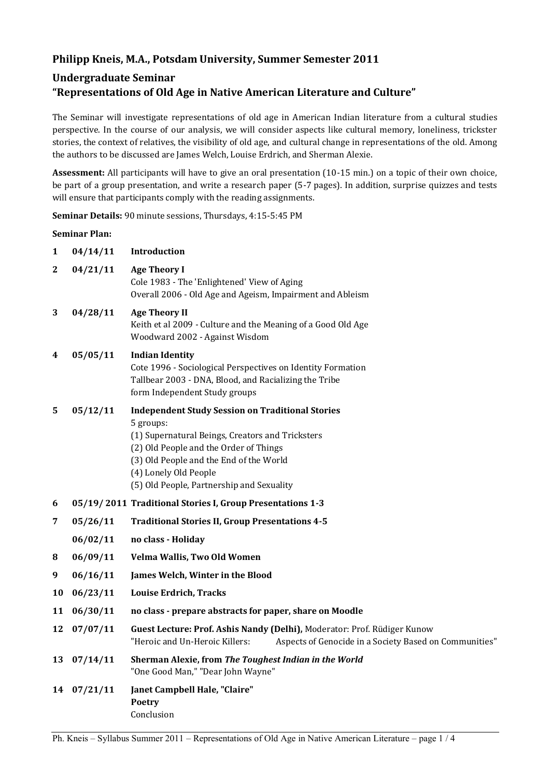## **Philipp Kneis, M.A., Potsdam University, Summer Semester 2011**

# **Undergraduate Seminar "Representations of Old Age in Native American Literature and Culture"**

The Seminar will investigate representations of old age in American Indian literature from a cultural studies perspective. In the course of our analysis, we will consider aspects like cultural memory, loneliness, trickster stories, the context of relatives, the visibility of old age, and cultural change in representations of the old. Among the authors to be discussed are James Welch, Louise Erdrich, and Sherman Alexie.

**Assessment:** All participants will have to give an oral presentation (10-15 min.) on a topic of their own choice, be part of a group presentation, and write a research paper (5-7 pages). In addition, surprise quizzes and tests will ensure that participants comply with the reading assignments.

**Seminar Details:** 90 minute sessions, Thursdays, 4:15-5:45 PM

### **Seminar Plan:**

| 1            | 04/14/11    | Introduction                                                                                                                                                                                                                                                                        |
|--------------|-------------|-------------------------------------------------------------------------------------------------------------------------------------------------------------------------------------------------------------------------------------------------------------------------------------|
| $\mathbf{2}$ | 04/21/11    | <b>Age Theory I</b><br>Cole 1983 - The 'Enlightened' View of Aging<br>Overall 2006 - Old Age and Ageism, Impairment and Ableism                                                                                                                                                     |
| 3            | 04/28/11    | <b>Age Theory II</b><br>Keith et al 2009 - Culture and the Meaning of a Good Old Age<br>Woodward 2002 - Against Wisdom                                                                                                                                                              |
| 4            | 05/05/11    | <b>Indian Identity</b><br>Cote 1996 - Sociological Perspectives on Identity Formation<br>Tallbear 2003 - DNA, Blood, and Racializing the Tribe<br>form Independent Study groups                                                                                                     |
| 5            | 05/12/11    | <b>Independent Study Session on Traditional Stories</b><br>5 groups:<br>(1) Supernatural Beings, Creators and Tricksters<br>(2) Old People and the Order of Things<br>(3) Old People and the End of the World<br>(4) Lonely Old People<br>(5) Old People, Partnership and Sexuality |
| 6            |             | 05/19/2011 Traditional Stories I, Group Presentations 1-3                                                                                                                                                                                                                           |
| 7            | 05/26/11    | <b>Traditional Stories II, Group Presentations 4-5</b>                                                                                                                                                                                                                              |
|              | 06/02/11    | no class - Holiday                                                                                                                                                                                                                                                                  |
| 8            | 06/09/11    | Velma Wallis, Two Old Women                                                                                                                                                                                                                                                         |
| 9            | 06/16/11    | James Welch, Winter in the Blood                                                                                                                                                                                                                                                    |
| 10           | 06/23/11    | <b>Louise Erdrich, Tracks</b>                                                                                                                                                                                                                                                       |
| 11           | 06/30/11    | no class - prepare abstracts for paper, share on Moodle                                                                                                                                                                                                                             |
| 12           | 07/07/11    | Guest Lecture: Prof. Ashis Nandy (Delhi), Moderator: Prof. Rüdiger Kunow<br>"Heroic and Un-Heroic Killers:<br>Aspects of Genocide in a Society Based on Communities"                                                                                                                |
| 13           | 07/14/11    | Sherman Alexie, from The Toughest Indian in the World<br>"One Good Man," "Dear John Wayne"                                                                                                                                                                                          |
|              | 14 07/21/11 | Janet Campbell Hale, "Claire"<br>Poetry<br>Conclusion                                                                                                                                                                                                                               |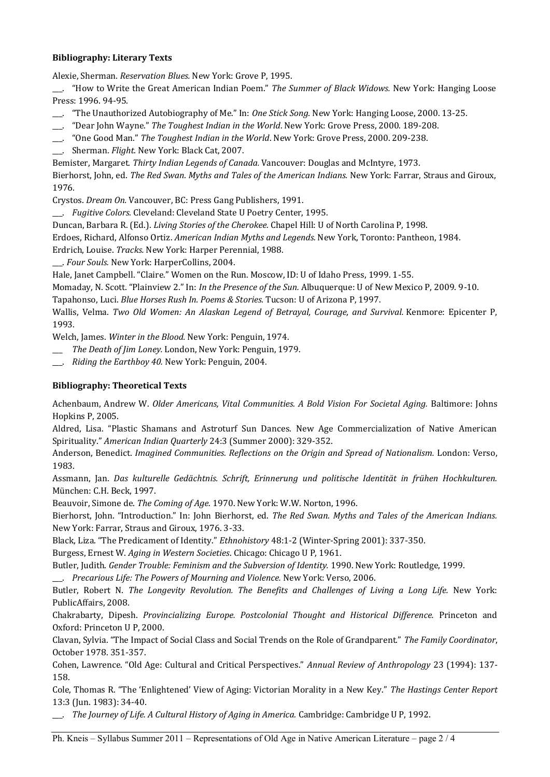### **Bibliography: Literary Texts**

Alexie, Sherman. *Reservation Blues.* New York: Grove P, 1995.

\_\_\_. "How to Write the Great American Indian Poem." *The Summer of Black Widows.* New York: Hanging Loose Press: 1996. 94-95.

- \_\_\_. "The Unauthorized Autobiography of Me." In: *One Stick Song.* New York: Hanging Loose, 2000. 13-25.
- \_\_\_. "Dear John Wayne." *The Toughest Indian in the World*. New York: Grove Press, 2000. 189-208.
- \_\_\_. "One Good Man." *The Toughest Indian in the World*. New York: Grove Press, 2000. 209-238.
- \_\_\_. Sherman. *Flight*. New York: Black Cat, 2007.

Bemister, Margaret. *Thirty Indian Legends of Canada.* Vancouver: Douglas and McIntyre, 1973.

Bierhorst, John, ed. *The Red Swan. Myths and Tales of the American Indians.* New York: Farrar, Straus and Giroux, 1976.

Crystos. *Dream On.* Vancouver, BC: Press Gang Publishers, 1991.

\_\_\_. *Fugitive Colors.* Cleveland: Cleveland State U Poetry Center, 1995.

Duncan, Barbara R. (Ed.). *Living Stories of the Cherokee.* Chapel Hill: U of North Carolina P, 1998.

Erdoes, Richard, Alfonso Ortiz. *American Indian Myths and Legends.* New York, Toronto: Pantheon, 1984.

Erdrich, Louise. *Tracks.* New York: Harper Perennial, 1988.

\_\_\_. *Four Souls.* New York: HarperCollins, 2004.

Hale, Janet Campbell. "Claire." Women on the Run. Moscow, ID: U of Idaho Press, 1999. 1-55.

Momaday, N. Scott. "Plainview 2." In: *In the Presence of the Sun.* Albuquerque: U of New Mexico P, 2009. 9-10. Tapahonso, Luci. *Blue Horses Rush In. Poems & Stories.* Tucson: U of Arizona P, 1997.

Wallis, Velma. *Two Old Women: An Alaskan Legend of Betrayal, Courage, and Survival.* Kenmore: Epicenter P, 1993.

Welch, James. *Winter in the Blood.* New York: Penguin, 1974.

- \_\_\_ *The Death of Jim Loney.* London, New York: Penguin, 1979.
- \_\_\_. *Riding the Earthboy 40.* New York: Penguin, 2004.

#### **Bibliography: Theoretical Texts**

Achenbaum, Andrew W. *Older Americans, Vital Communities. A Bold Vision For Societal Aging.* Baltimore: Johns Hopkins P, 2005.

Aldred, Lisa. "Plastic Shamans and Astroturf Sun Dances. New Age Commercialization of Native American Spirituality." *American Indian Quarterly* 24:3 (Summer 2000): 329-352.

Anderson, Benedict. *Imagined Communities. Reflections on the Origin and Spread of Nationalism.* London: Verso, 1983.

Assmann, Jan. *Das kulturelle Gedächtnis. Schrift, Erinnerung und politische Identität in frühen Hochkulturen.* München: C.H. Beck, 1997.

Beauvoir, Simone de. *The Coming of Age.* 1970. New York: W.W. Norton, 1996.

Bierhorst, John. "Introduction." In: John Bierhorst, ed. *The Red Swan. Myths and Tales of the American Indians.* New York: Farrar, Straus and Giroux, 1976. 3-33.

Black, Liza. "The Predicament of Identity." *Ethnohistory* 48:1-2 (Winter-Spring 2001): 337-350.

Burgess, Ernest W. *Aging in Western Societies*. Chicago: Chicago U P, 1961.

Butler, Judith. *Gender Trouble: Feminism and the Subversion of Identity.* 1990. New York: Routledge, 1999.

\_\_\_. *Precarious Life: The Powers of Mourning and Violence.* New York: Verso, 2006.

Butler, Robert N. *The Longevity Revolution. The Benefits and Challenges of Living a Long Life.* New York: PublicAffairs, 2008.

Chakrabarty, Dipesh. *Provincializing Europe. Postcolonial Thought and Historical Difference.* Princeton and Oxford: Princeton U P, 2000.

Clavan, Sylvia. "The Impact of Social Class and Social Trends on the Role of Grandparent." *The Family Coordinator*, October 1978. 351-357.

Cohen, Lawrence. "Old Age: Cultural and Critical Perspectives." *Annual Review of Anthropology* 23 (1994): 137- 158.

Cole, Thomas R. "The 'Enlightened' View of Aging: Victorian Morality in a New Key." *The Hastings Center Report* 13:3 (Jun. 1983): 34-40.

\_\_\_. *The Journey of Life. A Cultural History of Aging in America.* Cambridge: Cambridge U P, 1992.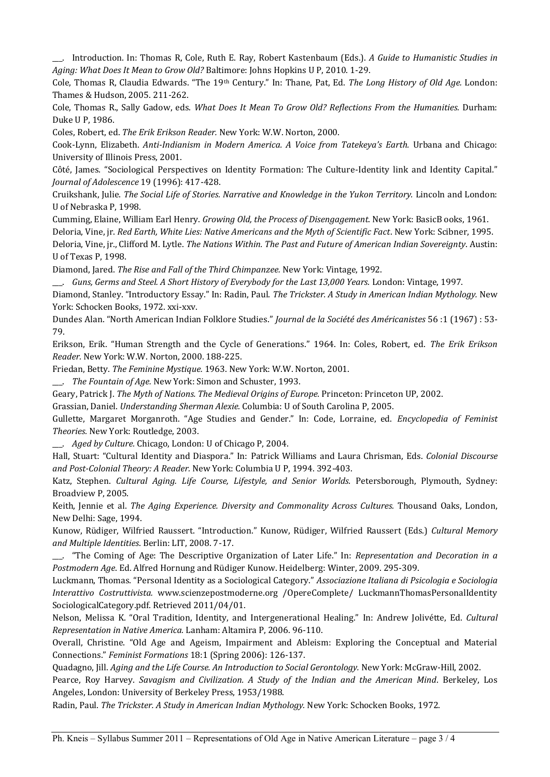\_\_\_. Introduction. In: Thomas R, Cole, Ruth E. Ray, Robert Kastenbaum (Eds.). *A Guide to Humanistic Studies in Aging: What Does It Mean to Grow Old?* Baltimore: Johns Hopkins U P, 2010. 1-29.

Cole, Thomas R, Claudia Edwards. "The 19th Century." In: Thane, Pat, Ed. *The Long History of Old Age.* London: Thames & Hudson, 2005. 211-262.

Cole, Thomas R., Sally Gadow, eds. *What Does It Mean To Grow Old? Reflections From the Humanities.* Durham: Duke U P, 1986.

Coles, Robert, ed. *The Erik Erikson Reader.* New York: W.W. Norton, 2000.

Cook-Lynn, Elizabeth. *Anti-Indianism in Modern America. A Voice from Tatekeya's Earth.* Urbana and Chicago: University of Illinois Press, 2001.

Côté, James. "Sociological Perspectives on Identity Formation: The Culture-Identity link and Identity Capital." *Journal of Adolescence* 19 (1996): 417-428.

Cruikshank, Julie. *The Social Life of Stories. Narrative and Knowledge in the Yukon Territory.* Lincoln and London: U of Nebraska P, 1998.

Cumming, Elaine, William Earl Henry. *Growing Old, the Process of Disengagement*. New York: BasicB ooks, 1961.

Deloria, Vine, jr. *Red Earth, White Lies: Native Americans and the Myth of Scientific Fact*. New York: Scibner, 1995.

Deloria, Vine, jr., Clifford M. Lytle. *The Nations Within. The Past and Future of American Indian Sovereignty*. Austin: U of Texas P, 1998.

Diamond, Jared. *The Rise and Fall of the Third Chimpanzee.* New York: Vintage, 1992.

\_\_\_. *Guns, Germs and Steel. A Short History of Everybody for the Last 13,000 Years.* London: Vintage, 1997.

Diamond, Stanley. "Introductory Essay." In: Radin, Paul. *The Trickster. A Study in American Indian Mythology.* New York: Schocken Books, 1972. xxi-xxv.

Dundes Alan. "North American Indian Folklore Studies." *Journal de la Société des Américanistes* 56 :1 (1967) : 53- 79.

Erikson, Erik. "Human Strength and the Cycle of Generations." 1964. In: Coles, Robert, ed. *The Erik Erikson Reader.* New York: W.W. Norton, 2000. 188-225.

Friedan, Betty. *The Feminine Mystique.* 1963. New York: W.W. Norton, 2001.

\_\_\_. *The Fountain of Age.* New York: Simon and Schuster, 1993.

Geary, Patrick J. *The Myth of Nations. The Medieval Origins of Europe.* Princeton: Princeton UP, 2002.

Grassian, Daniel. *Understanding Sherman Alexie.* Columbia: U of South Carolina P, 2005.

Gullette, Margaret Morganroth. "Age Studies and Gender." In: Code, Lorraine, ed. *Encyclopedia of Feminist Theories.* New York: Routledge, 2003.

\_\_\_. *Aged by Culture.* Chicago, London: U of Chicago P, 2004.

Hall, Stuart: "Cultural Identity and Diaspora." In: Patrick Williams and Laura Chrisman, Eds. *Colonial Discourse and Post-Colonial Theory: A Reader.* New York: Columbia U P, 1994. 392-403.

Katz, Stephen. *Cultural Aging. Life Course, Lifestyle, and Senior Worlds.* Petersborough, Plymouth, Sydney: Broadview P, 2005.

Keith, Jennie et al. *The Aging Experience. Diversity and Commonality Across Cultures.* Thousand Oaks, London, New Delhi: Sage, 1994.

Kunow, Rüdiger, Wilfried Raussert. "Introduction." Kunow, Rüdiger, Wilfried Raussert (Eds.) *Cultural Memory and Multiple Identities*. Berlin: LIT, 2008. 7-17.

\_\_\_. "The Coming of Age: The Descriptive Organization of Later Life." In: *Representation and Decoration in a Postmodern Age*. Ed. Alfred Hornung and Rüdiger Kunow. Heidelberg: Winter, 2009. 295-309.

Luckmann, Thomas. "Personal Identity as a Sociological Category." *Associazione Italiana di Psicologia e Sociologia Interattivo Costruttivista.* www.scienzepostmoderne.org /OpereComplete/ LuckmannThomasPersonalIdentity SociologicalCategory.pdf. Retrieved 2011/04/01.

Nelson, Melissa K. "Oral Tradition, Identity, and Intergenerational Healing." In: Andrew Jolivétte, Ed. *Cultural Representation in Native America.* Lanham: Altamira P, 2006. 96-110.

Overall, Christine. "Old Age and Ageism, Impairment and Ableism: Exploring the Conceptual and Material Connections." *Feminist Formations* 18:1 (Spring 2006): 126-137.

Quadagno, Jill. *Aging and the Life Course. An Introduction to Social Gerontology.* New York: McGraw-Hill, 2002.

Pearce, Roy Harvey. *Savagism and Civilization. A Study of the Indian and the American Mind*. Berkeley, Los Angeles, London: University of Berkeley Press, 1953/1988.

Radin, Paul. *The Trickster. A Study in American Indian Mythology.* New York: Schocken Books, 1972.